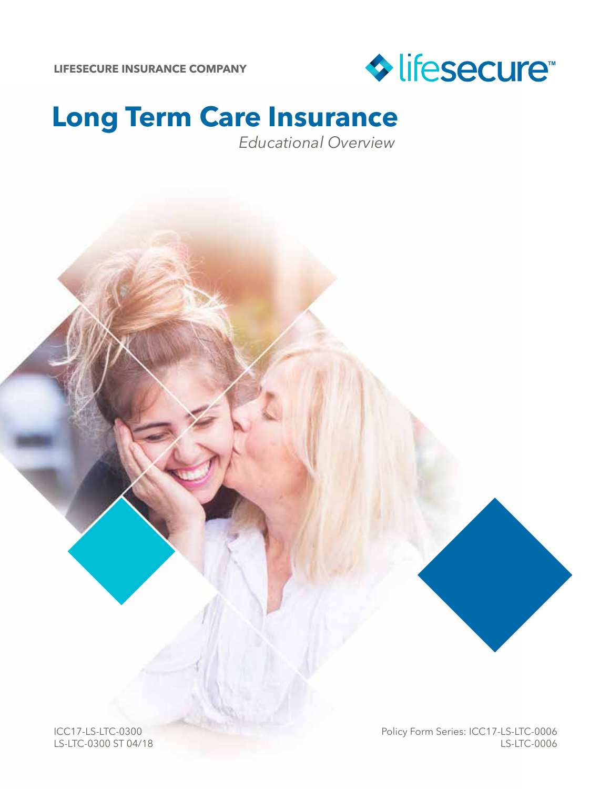

### **Long Term Care Insurance**  *Educational Overview*

ICC17-LS-LTC-0300 LS-LTC-0300 ST 04/18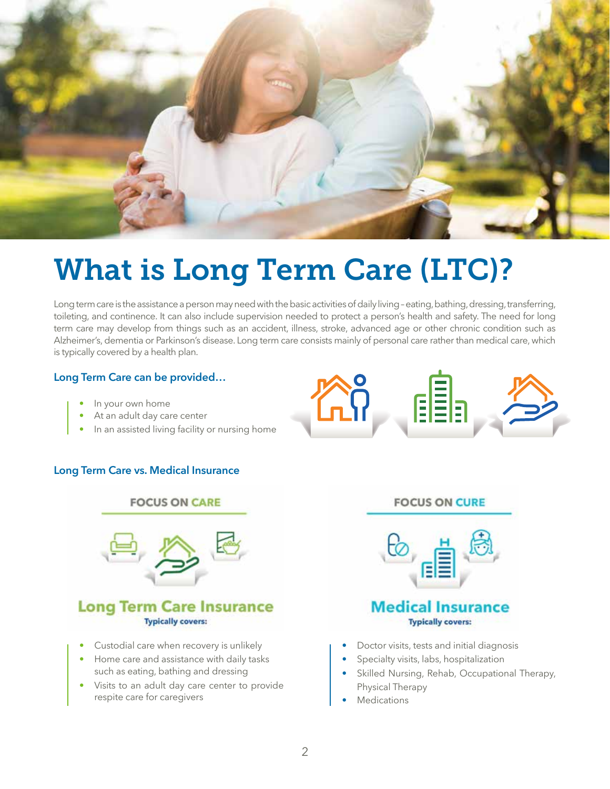

## What is Long Term Care (LTC)?

Long term care is the assistance a person may need with the basic activities of daily living – eating, bathing, dressing, transferring, toileting, and continence. It can also include supervision needed to protect a person's health and safety. The need for long term care may develop from things such as an accident, illness, stroke, advanced age or other chronic condition such as Alzheimer's, dementia or Parkinson's disease. Long term care consists mainly of personal care rather than medical care, which is typically covered by a health plan.

#### **Long Term Care can be provided…**

- In your own home
- At an adult day care center
- In an assisted living facility or nursing home

#### **Long Term Care vs. Medical Insurance**



• Visits to an adult day care center to provide respite care for caregivers



#### **FOCUS ON CURE**



#### **Medical Insurance Typically covers:**

- Doctor visits, tests and initial diagnosis
- Specialty visits, labs, hospitalization
- Skilled Nursing, Rehab, Occupational Therapy, Physical Therapy
- **Medications**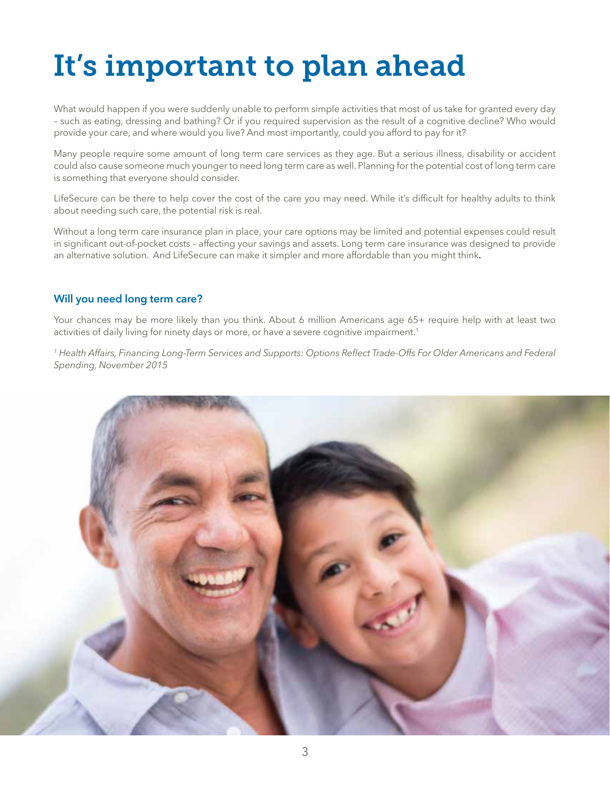## It's important to plan ahead

What would happen if you were suddenly unable to perform simple activities that most of us take for granted every day – such as eating, dressing and bathing? Or if you required supervision as the result of a cognitive decline? Who would provide your care, and where would you live? And most importantly, could you afford to pay for it?

Many people require some amount of long term care services as they age. But a serious illness, disability or accident could also cause someone much younger to need long term care as well. Planning for the potential cost of long term care is something that everyone should consider.

LifeSecure can be there to help cover the cost of the care you may need. While it's difficult for healthy adults to think about needing such care, the potential risk is real.

Without a long term care insurance plan in place, your care options may be limited and potential expenses could result in significant out-of-pocket costs – affecting your savings and assets. Long term care insurance was designed to provide an alternative solution. And LifeSecure can make it simpler and more affordable than you might think.

#### **Will you need long term care?**

Your chances may be more likely than you think. About 6 million Americans age 65+ require help with at least two activities of daily living for ninety days or more, or have a severe cognitive impairment.<sup>1</sup>

*1 Health Affairs, Financing Long-Term Services and Supports: Options Reflect Trade-Offs For Older Americans and Federal Spending, November 2015*

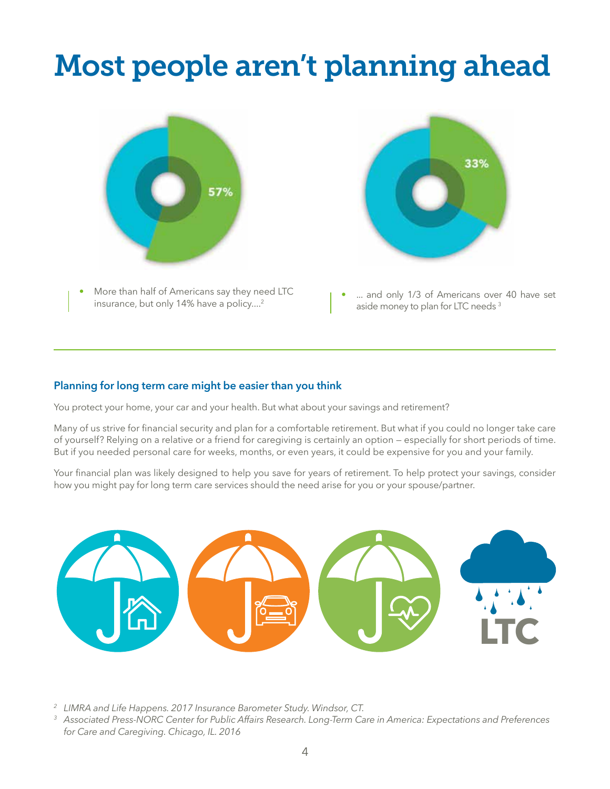## Most people aren't planning ahead



• More than half of Americans say they need LTC insurance, but only 14% have a policy....<sup>2</sup>



... and only 1/3 of Americans over 40 have set aside money to plan for LTC needs 3

#### **Planning for long term care might be easier than you think**

You protect your home, your car and your health. But what about your savings and retirement?

Many of us strive for financial security and plan for a comfortable retirement. But what if you could no longer take care of yourself? Relying on a relative or a friend for caregiving is certainly an option — especially for short periods of time. But if you needed personal care for weeks, months, or even years, it could be expensive for you and your family.

Your financial plan was likely designed to help you save for years of retirement. To help protect your savings, consider how you might pay for long term care services should the need arise for you or your spouse/partner.



*<sup>2</sup> LIMRA and Life Happens. 2017 Insurance Barometer Study. Windsor, CT.*

*<sup>3</sup> Associated Press-NORC Center for Public Affairs Research. Long-Term Care in America: Expectations and Preferences for Care and Caregiving. Chicago, IL. 2016*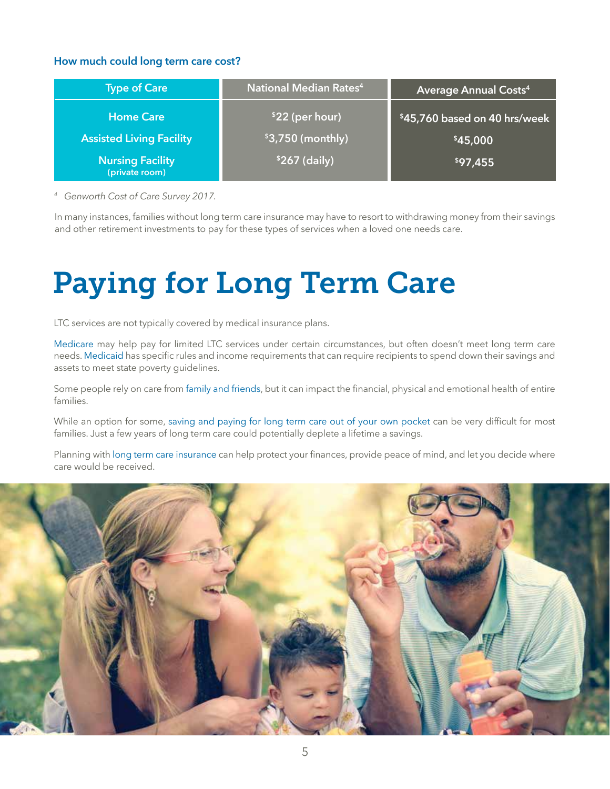#### **How much could long term care cost?**

| <b>Type of Care</b>                       | National Median Rates <sup>4</sup> | <b>Average Annual Costs4</b>  |
|-------------------------------------------|------------------------------------|-------------------------------|
| <b>Home Care</b>                          | \$22 (per hour)                    | \$45,760 based on 40 hrs/week |
| <b>Assisted Living Facility</b>           | $$3,750$ (monthly)                 | \$45,000                      |
| <b>Nursing Facility</b><br>(private room) | $$267$ (daily)                     | \$97,455                      |

*<sup>4</sup> Genworth Cost of Care Survey 2017.*

In many instances, families without long term care insurance may have to resort to withdrawing money from their savings and other retirement investments to pay for these types of services when a loved one needs care.

## Paying for Long Term Care

LTC services are not typically covered by medical insurance plans.

Medicare may help pay for limited LTC services under certain circumstances, but often doesn't meet long term care needs. Medicaid has specific rules and income requirements that can require recipients to spend down their savings and assets to meet state poverty guidelines.

Some people rely on care from family and friends, but it can impact the financial, physical and emotional health of entire families.

While an option for some, saving and paying for long term care out of your own pocket can be very difficult for most families. Just a few years of long term care could potentially deplete a lifetime a savings.

Planning with long term care insurance can help protect your finances, provide peace of mind, and let you decide where care would be received.

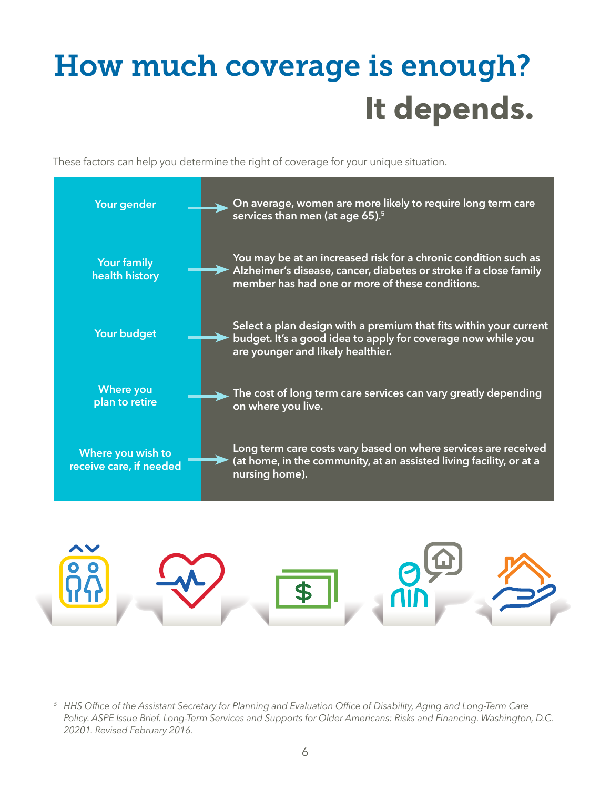# How much coverage is enough? **It depends.**

These factors can help you determine the right of coverage for your unique situation.





*<sup>5</sup> HHS Office of the Assistant Secretary for Planning and Evaluation Office of Disability, Aging and Long-Term Care Policy. ASPE Issue Brief. Long-Term Services and Supports for Older Americans: Risks and Financing. Washington, D.C. 20201. Revised February 2016.*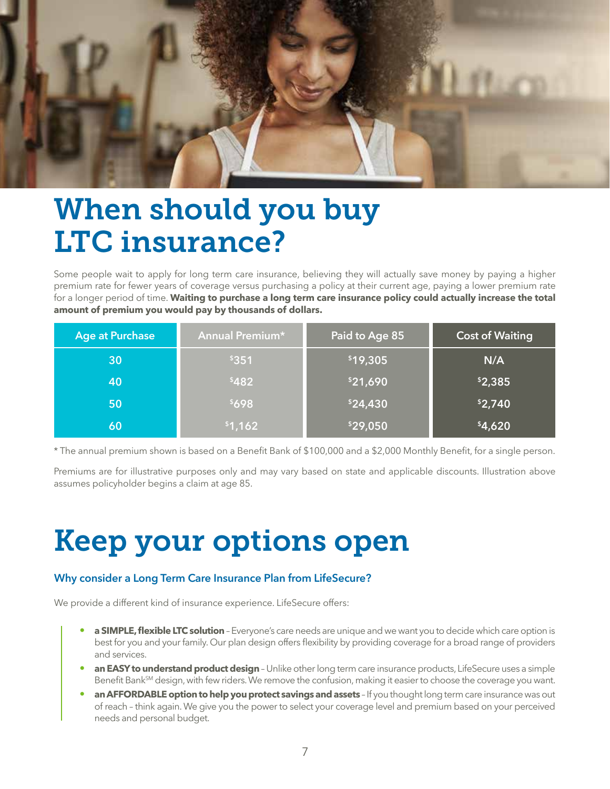

### When should you buy LTC insurance?

Some people wait to apply for long term care insurance, believing they will actually save money by paying a higher premium rate for fewer years of coverage versus purchasing a policy at their current age, paying a lower premium rate for a longer period of time. **Waiting to purchase a long term care insurance policy could actually increase the total amount of premium you would pay by thousands of dollars.**

| <b>Age at Purchase</b> | <b>Annual Premium*</b> | Paid to Age 85 | <b>Cost of Waiting</b> |
|------------------------|------------------------|----------------|------------------------|
| 30                     | \$351                  | \$19,305       | N/A                    |
| 40                     | \$482                  | \$21,690       | \$2,385                |
| 50                     | \$698                  | \$24,430       | \$2,740                |
| 60                     | \$1,162                | \$29,050       | \$4,620                |

\* The annual premium shown is based on a Benefit Bank of \$100,000 and a \$2,000 Monthly Benefit, for a single person.

Premiums are for illustrative purposes only and may vary based on state and applicable discounts. Illustration above assumes policyholder begins a claim at age 85.

## Keep your options open

#### **Why consider a Long Term Care Insurance Plan from LifeSecure?**

We provide a different kind of insurance experience. LifeSecure offers:

- **a SIMPLE, flexible LTC solution** Everyone's care needs are unique and we want you to decide which care option is best for you and your family. Our plan design offers flexibility by providing coverage for a broad range of providers and services.
- **an EASY to understand product design** Unlike other long term care insurance products, LifeSecure uses a simple Benefit Bank<sup>SM</sup> design, with few riders. We remove the confusion, making it easier to choose the coverage you want.
- **an AFFORDABLE option to help you protect savings and assets** If you thought long term care insurance was out of reach – think again. We give you the power to select your coverage level and premium based on your perceived needs and personal budget.